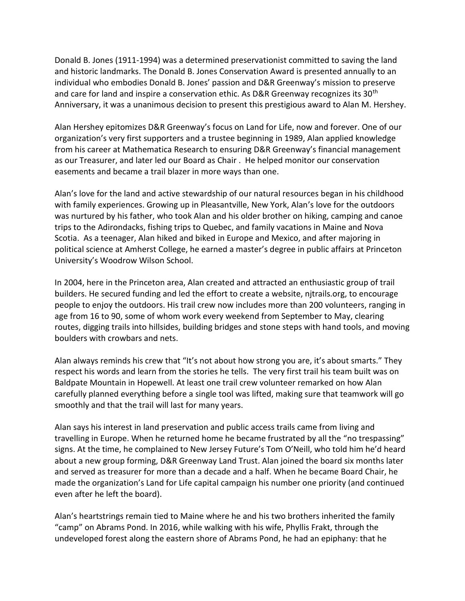Donald B. Jones (1911-1994) was a determined preservationist committed to saving the land and historic landmarks. The Donald B. Jones Conservation Award is presented annually to an individual who embodies Donald B. Jones' passion and D&R Greenway's mission to preserve and care for land and inspire a conservation ethic. As D&R Greenway recognizes its 30<sup>th</sup> Anniversary, it was a unanimous decision to present this prestigious award to Alan M. Hershey.

Alan Hershey epitomizes D&R Greenway's focus on Land for Life, now and forever. One of our organization's very first supporters and a trustee beginning in 1989, Alan applied knowledge from his career at Mathematica Research to ensuring D&R Greenway's financial management as our Treasurer, and later led our Board as Chair . He helped monitor our conservation easements and became a trail blazer in more ways than one.

Alan's love for the land and active stewardship of our natural resources began in his childhood with family experiences. Growing up in Pleasantville, New York, Alan's love for the outdoors was nurtured by his father, who took Alan and his older brother on hiking, camping and canoe trips to the Adirondacks, fishing trips to Quebec, and family vacations in Maine and Nova Scotia. As a teenager, Alan hiked and biked in Europe and Mexico, and after majoring in political science at Amherst College, he earned a master's degree in public affairs at Princeton University's Woodrow Wilson School.

In 2004, here in the Princeton area, Alan created and attracted an enthusiastic group of trail builders. He secured funding and led the effort to create a website, njtrails.org, to encourage people to enjoy the outdoors. His trail crew now includes more than 200 volunteers, ranging in age from 16 to 90, some of whom work every weekend from September to May, clearing routes, digging trails into hillsides, building bridges and stone steps with hand tools, and moving boulders with crowbars and nets.

Alan always reminds his crew that "It's not about how strong you are, it's about smarts." They respect his words and learn from the stories he tells. The very first trail his team built was on Baldpate Mountain in Hopewell. At least one trail crew volunteer remarked on how Alan carefully planned everything before a single tool was lifted, making sure that teamwork will go smoothly and that the trail will last for many years.

Alan says his interest in land preservation and public access trails came from living and travelling in Europe. When he returned home he became frustrated by all the "no trespassing" signs. At the time, he complained to New Jersey Future's Tom O'Neill, who told him he'd heard about a new group forming, D&R Greenway Land Trust. Alan joined the board six months later and served as treasurer for more than a decade and a half. When he became Board Chair, he made the organization's Land for Life capital campaign his number one priority (and continued even after he left the board).

Alan's heartstrings remain tied to Maine where he and his two brothers inherited the family "camp" on Abrams Pond. In 2016, while walking with his wife, Phyllis Frakt, through the undeveloped forest along the eastern shore of Abrams Pond, he had an epiphany: that he